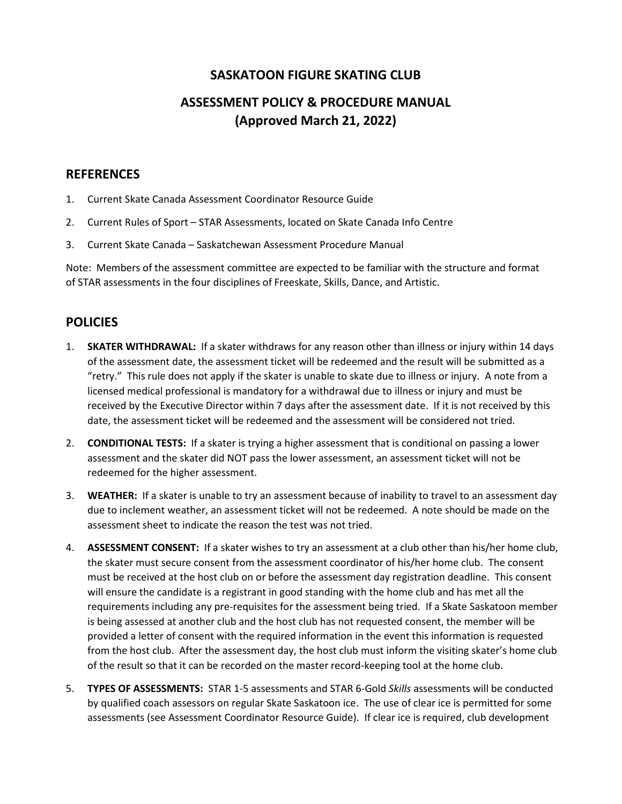### **SASKATOON FIGURE SKATING CLUB**

# **ASSESSMENT POLICY & PROCEDURE MANUAL (Approved March 21, 2022)**

#### **REFERENCES**

- 1. Current Skate Canada Assessment Coordinator Resource Guide
- 2. Current Rules of Sport STAR Assessments, located on Skate Canada Info Centre
- 3. Current Skate Canada Saskatchewan Assessment Procedure Manual

Note: Members of the assessment committee are expected to be familiar with the structure and format of STAR assessments in the four disciplines of Freeskate, Skills, Dance, and Artistic.

### **POLICIES**

- 1. **SKATER WITHDRAWAL:** If a skater withdraws for any reason other than illness or injury within 14 days of the assessment date, the assessment ticket will be redeemed and the result will be submitted as a "retry." This rule does not apply if the skater is unable to skate due to illness or injury. A note from a licensed medical professional is mandatory for a withdrawal due to illness or injury and must be received by the Executive Director within 7 days after the assessment date. If it is not received by this date, the assessment ticket will be redeemed and the assessment will be considered not tried.
- 2. **CONDITIONAL TESTS:** If a skater is trying a higher assessment that is conditional on passing a lower assessment and the skater did NOT pass the lower assessment, an assessment ticket will not be redeemed for the higher assessment.
- 3. **WEATHER:** If a skater is unable to try an assessment because of inability to travel to an assessment day due to inclement weather, an assessment ticket will not be redeemed. A note should be made on the assessment sheet to indicate the reason the test was not tried.
- 4. **ASSESSMENT CONSENT:** If a skater wishes to try an assessment at a club other than his/her home club, the skater must secure consent from the assessment coordinator of his/her home club. The consent must be received at the host club on or before the assessment day registration deadline. This consent will ensure the candidate is a registrant in good standing with the home club and has met all the requirements including any pre-requisites for the assessment being tried. If a Skate Saskatoon member is being assessed at another club and the host club has not requested consent, the member will be provided a letter of consent with the required information in the event this information is requested from the host club. After the assessment day, the host club must inform the visiting skater's home club of the result so that it can be recorded on the master record-keeping tool at the home club.
- 5. **TYPES OF ASSESSMENTS:** STAR 1-5 assessments and STAR 6-Gold *Skills* assessments will be conducted by qualified coach assessors on regular Skate Saskatoon ice. The use of clear ice is permitted for some assessments (see Assessment Coordinator Resource Guide). If clear ice is required, club development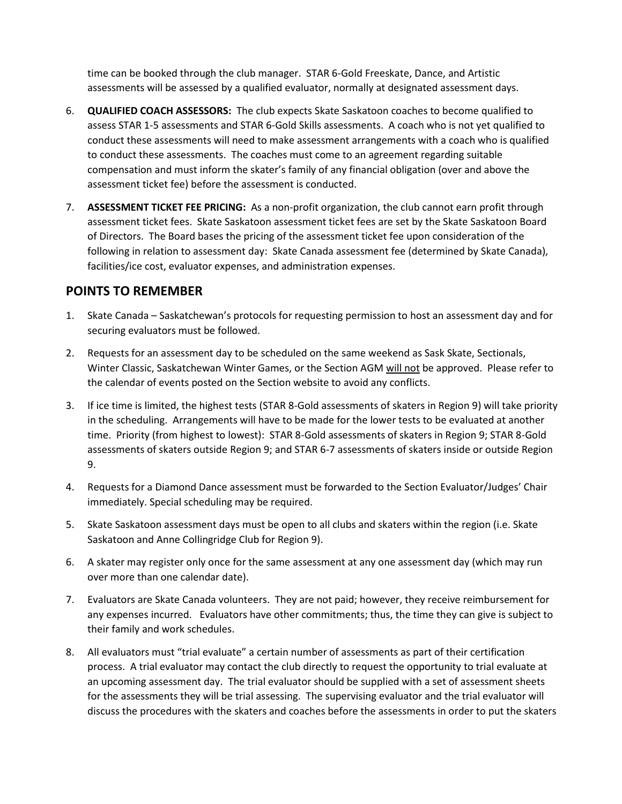time can be booked through the club manager. STAR 6-Gold Freeskate, Dance, and Artistic assessments will be assessed by a qualified evaluator, normally at designated assessment days.

- 6. **QUALIFIED COACH ASSESSORS:** The club expects Skate Saskatoon coaches to become qualified to assess STAR 1-5 assessments and STAR 6-Gold Skills assessments. A coach who is not yet qualified to conduct these assessments will need to make assessment arrangements with a coach who is qualified to conduct these assessments. The coaches must come to an agreement regarding suitable compensation and must inform the skater's family of any financial obligation (over and above the assessment ticket fee) before the assessment is conducted.
- 7. **ASSESSMENT TICKET FEE PRICING:** As a non-profit organization, the club cannot earn profit through assessment ticket fees. Skate Saskatoon assessment ticket fees are set by the Skate Saskatoon Board of Directors. The Board bases the pricing of the assessment ticket fee upon consideration of the following in relation to assessment day: Skate Canada assessment fee (determined by Skate Canada), facilities/ice cost, evaluator expenses, and administration expenses.

### **POINTS TO REMEMBER**

- 1. Skate Canada Saskatchewan's protocols for requesting permission to host an assessment day and for securing evaluators must be followed.
- 2. Requests for an assessment day to be scheduled on the same weekend as Sask Skate, Sectionals, Winter Classic, Saskatchewan Winter Games, or the Section AGM will not be approved. Please refer to the calendar of events posted on the Section website to avoid any conflicts.
- 3. If ice time is limited, the highest tests (STAR 8-Gold assessments of skaters in Region 9) will take priority in the scheduling. Arrangements will have to be made for the lower tests to be evaluated at another time. Priority (from highest to lowest): STAR 8-Gold assessments of skaters in Region 9; STAR 8-Gold assessments of skaters outside Region 9; and STAR 6-7 assessments of skaters inside or outside Region 9.
- 4. Requests for a Diamond Dance assessment must be forwarded to the Section Evaluator/Judges' Chair immediately. Special scheduling may be required.
- 5. Skate Saskatoon assessment days must be open to all clubs and skaters within the region (i.e. Skate Saskatoon and Anne Collingridge Club for Region 9).
- 6. A skater may register only once for the same assessment at any one assessment day (which may run over more than one calendar date).
- 7. Evaluators are Skate Canada volunteers. They are not paid; however, they receive reimbursement for any expenses incurred. Evaluators have other commitments; thus, the time they can give is subject to their family and work schedules.
- 8. All evaluators must "trial evaluate" a certain number of assessments as part of their certification process. A trial evaluator may contact the club directly to request the opportunity to trial evaluate at an upcoming assessment day. The trial evaluator should be supplied with a set of assessment sheets for the assessments they will be trial assessing. The supervising evaluator and the trial evaluator will discuss the procedures with the skaters and coaches before the assessments in order to put the skaters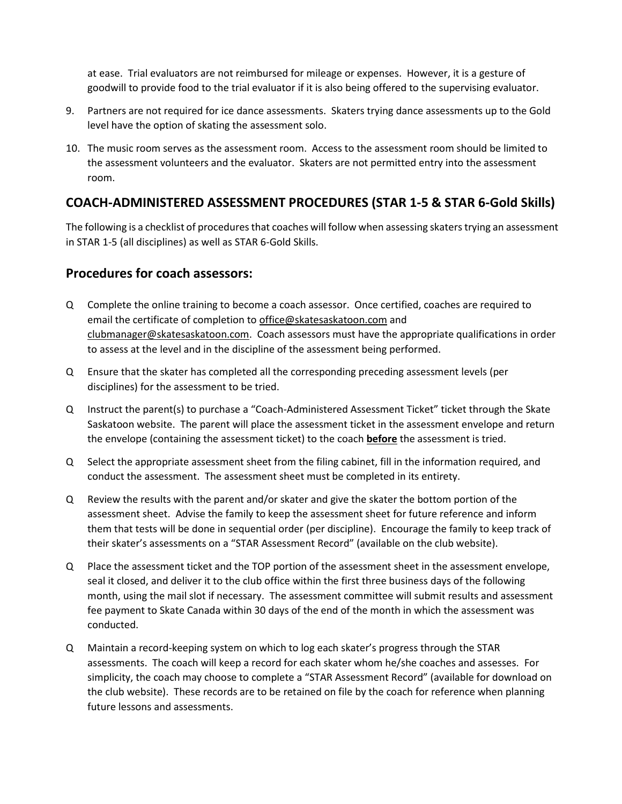at ease. Trial evaluators are not reimbursed for mileage or expenses. However, it is a gesture of goodwill to provide food to the trial evaluator if it is also being offered to the supervising evaluator.

- 9. Partners are not required for ice dance assessments. Skaters trying dance assessments up to the Gold level have the option of skating the assessment solo.
- 10. The music room serves as the assessment room. Access to the assessment room should be limited to the assessment volunteers and the evaluator. Skaters are not permitted entry into the assessment room.

## **COACH-ADMINISTERED ASSESSMENT PROCEDURES (STAR 1-5 & STAR 6-Gold Skills)**

The following is a checklist of procedures that coaches will follow when assessing skaters trying an assessment in STAR 1-5 (all disciplines) as well as STAR 6-Gold Skills.

### **Procedures for coach assessors:**

- Q Complete the online training to become a coach assessor. Once certified, coaches are required to email the certificate of completion to [office@skatesaskatoon.com](mailto:office@skatesaskatoon.com) and [clubmanager@skatesaskatoon.com.](mailto:clubmanager@skatesaskatoon.com) Coach assessors must have the appropriate qualifications in order to assess at the level and in the discipline of the assessment being performed.
- Q Ensure that the skater has completed all the corresponding preceding assessment levels (per disciplines) for the assessment to be tried.
- Q Instruct the parent(s) to purchase a "Coach-Administered Assessment Ticket" ticket through the Skate Saskatoon website. The parent will place the assessment ticket in the assessment envelope and return the envelope (containing the assessment ticket) to the coach **before** the assessment is tried.
- Q Select the appropriate assessment sheet from the filing cabinet, fill in the information required, and conduct the assessment. The assessment sheet must be completed in its entirety.
- Q Review the results with the parent and/or skater and give the skater the bottom portion of the assessment sheet. Advise the family to keep the assessment sheet for future reference and inform them that tests will be done in sequential order (per discipline). Encourage the family to keep track of their skater's assessments on a "STAR Assessment Record" (available on the club website).
- Q Place the assessment ticket and the TOP portion of the assessment sheet in the assessment envelope, seal it closed, and deliver it to the club office within the first three business days of the following month, using the mail slot if necessary. The assessment committee will submit results and assessment fee payment to Skate Canada within 30 days of the end of the month in which the assessment was conducted.
- Q Maintain a record-keeping system on which to log each skater's progress through the STAR assessments. The coach will keep a record for each skater whom he/she coaches and assesses. For simplicity, the coach may choose to complete a "STAR Assessment Record" (available for download on the club website). These records are to be retained on file by the coach for reference when planning future lessons and assessments.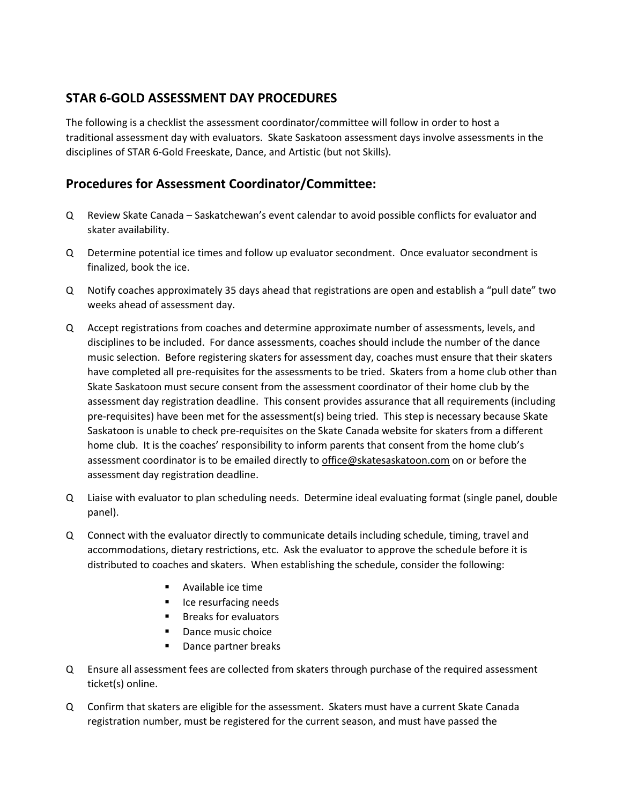### **STAR 6-GOLD ASSESSMENT DAY PROCEDURES**

The following is a checklist the assessment coordinator/committee will follow in order to host a traditional assessment day with evaluators. Skate Saskatoon assessment days involve assessments in the disciplines of STAR 6-Gold Freeskate, Dance, and Artistic (but not Skills).

## **Procedures for Assessment Coordinator/Committee:**

- Q Review Skate Canada Saskatchewan's event calendar to avoid possible conflicts for evaluator and skater availability.
- Q Determine potential ice times and follow up evaluator secondment. Once evaluator secondment is finalized, book the ice.
- Q Notify coaches approximately 35 days ahead that registrations are open and establish a "pull date" two weeks ahead of assessment day.
- Q Accept registrations from coaches and determine approximate number of assessments, levels, and disciplines to be included. For dance assessments, coaches should include the number of the dance music selection. Before registering skaters for assessment day, coaches must ensure that their skaters have completed all pre-requisites for the assessments to be tried. Skaters from a home club other than Skate Saskatoon must secure consent from the assessment coordinator of their home club by the assessment day registration deadline. This consent provides assurance that all requirements (including pre-requisites) have been met for the assessment(s) being tried. This step is necessary because Skate Saskatoon is unable to check pre-requisites on the Skate Canada website for skaters from a different home club. It is the coaches' responsibility to inform parents that consent from the home club's assessment coordinator is to be emailed directly to [office@skatesaskatoon.com](mailto:office@skatesaskatoon.com) on or before the assessment day registration deadline.
- Q Liaise with evaluator to plan scheduling needs. Determine ideal evaluating format (single panel, double panel).
- Q Connect with the evaluator directly to communicate details including schedule, timing, travel and accommodations, dietary restrictions, etc. Ask the evaluator to approve the schedule before it is distributed to coaches and skaters. When establishing the schedule, consider the following:
	- Available ice time
	- Ice resurfacing needs
	- Breaks for evaluators
	- Dance music choice
	- Dance partner breaks
- Q Ensure all assessment fees are collected from skaters through purchase of the required assessment ticket(s) online.
- Q Confirm that skaters are eligible for the assessment. Skaters must have a current Skate Canada registration number, must be registered for the current season, and must have passed the